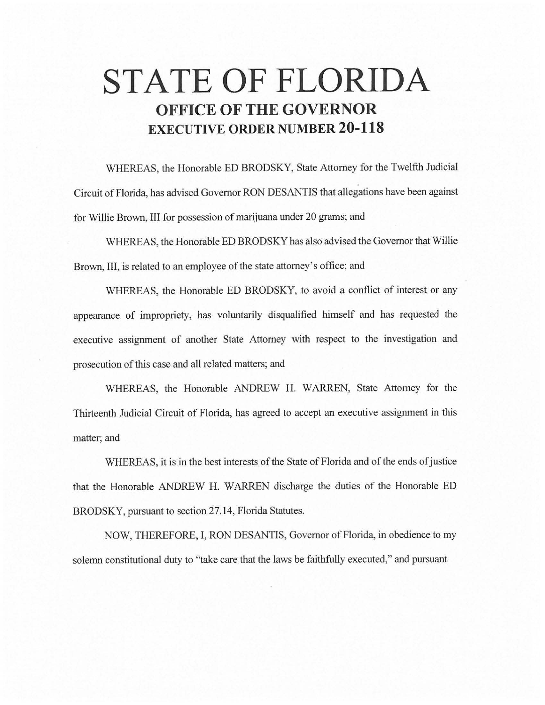# **STATE OF FLORIDA OFFICE OF THE GOVERNOR EXECUTIVE ORDER NUMBER 20-118**

WHEREAS, the Honorable ED BRODSKY, State Attorney for the Twelfth Judicial Circuit of Florida, has advised Governor RON DESANTIS that allegations have been against for Willie Brown, III for possession of marijuana under 20 grams; and

WHEREAS, the Honorable ED BRODSKY has also advised the Governor that Willie Brown, III, is related to an employee of the state attorney's office; and

WHEREAS, the Honorable ED BRODSKY, to avoid a conflict of interest or any appearance of impropriety, has voluntarily disqualified himself and has requested the executive assignment of another State Attorney with respect to the investigation and prosecution of this case and all related matters; and

WHEREAS, the Honorable ANDREW H. WARREN, State Attorney for the Thirteenth Judicial Circuit of Florida, has agreed to accept an executive assignment in this matter; and

WHEREAS, it is in the best interests of the State of Florida and of the ends of justice that the Honorable ANDREW H. WARREN discharge the duties of the Honorable ED BRODSKY, pursuant to section 27.14, Florida Statutes.

NOW, THEREFORE, I, RON DESANTIS, Governor of Florida, in obedience to my solemn constitutional duty to "take care that the laws be faithfully executed," and pursuant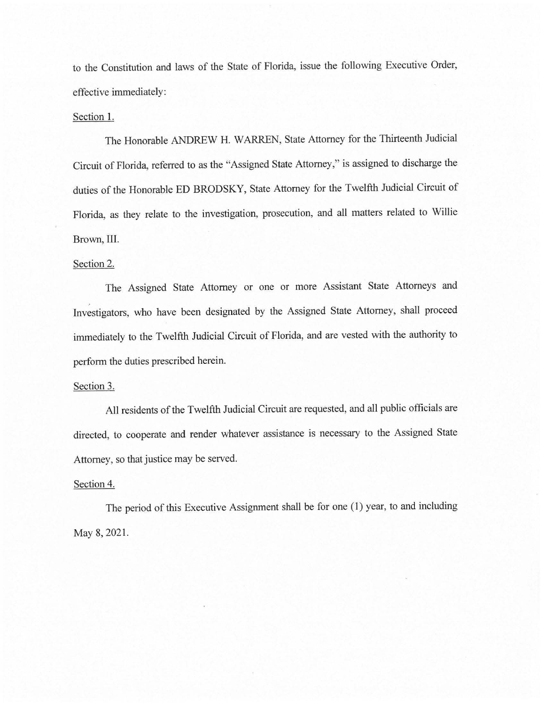to the Constitution and laws of the State of Florida, issue the following Executive Order, effective immediately:

## Section 1.

The Honorable ANDREW H. WARREN, State Attorney for the Thirteenth Judicial Circuit of Florida, referred to as the "Assigned State Attorney," is assigned to discharge the duties of the Honorable ED BRODSKY, State Attorney for the Twelfth Judicial Circuit of Florida, as they relate to the investigation, prosecution, and all matters related to Willie Brown, III.

### Section 2.

The Assigned State Attorney or one or more Assistant State Attorneys and Investigators, who have been designated by the Assigned State Attorney, shall proceed immediately to the Twelfth Judicial Circuit of Florida, and are vested with the authority to perform the duties prescribed herein.

### Section 3.

All residents of the Twelfth Judicial Circuit are requested, and all public officials are directed, to cooperate and render whatever assistance is necessary to the Assigned State Attorney, so that justice may be served.

#### Section 4.

The period of this Executive Assignment shall be for one (1) year, to and including May 8, 2021.